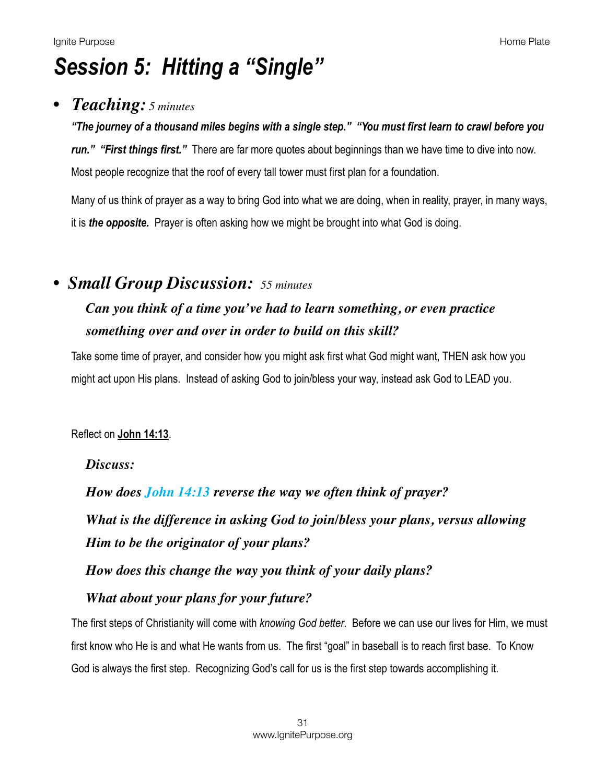# *Session 5: Hitting a "Single"*

### *• Teaching: 5 minutes*

*"The journey of a thousand miles begins with a single step." "You must first learn to crawl before you run." "First things first."* There are far more quotes about beginnings than we have time to dive into now. Most people recognize that the roof of every tall tower must first plan for a foundation.

Many of us think of prayer as a way to bring God into what we are doing, when in reality, prayer, in many ways, it is *the opposite.* Prayer is often asking how we might be brought into what God is doing.

### *• Small Group Discussion: 55 minutes*

# *Can you think of a time you've had to learn something, or even practice something over and over in order to build on this skill?*

Take some time of prayer, and consider how you might ask first what God might want, THEN ask how you might act upon His plans. Instead of asking God to join/bless your way, instead ask God to LEAD you.

#### Reflect on **[John 14:13](https://www.biblegateway.com/passage/?search=John+14:13&version=NIV)**.

#### *Discuss:*

*How does John 14:13 reverse the way we often think of prayer? What is the difference in asking God to join/bless your plans, versus allowing Him to be the originator of your plans?* 

*How does this change the way you think of your daily plans?* 

### *What about your plans for your future?*

The first steps of Christianity will come with *knowing God better*. Before we can use our lives for Him, we must first know who He is and what He wants from us. The first "goal" in baseball is to reach first base. To Know God is always the first step. Recognizing God's call for us is the first step towards accomplishing it.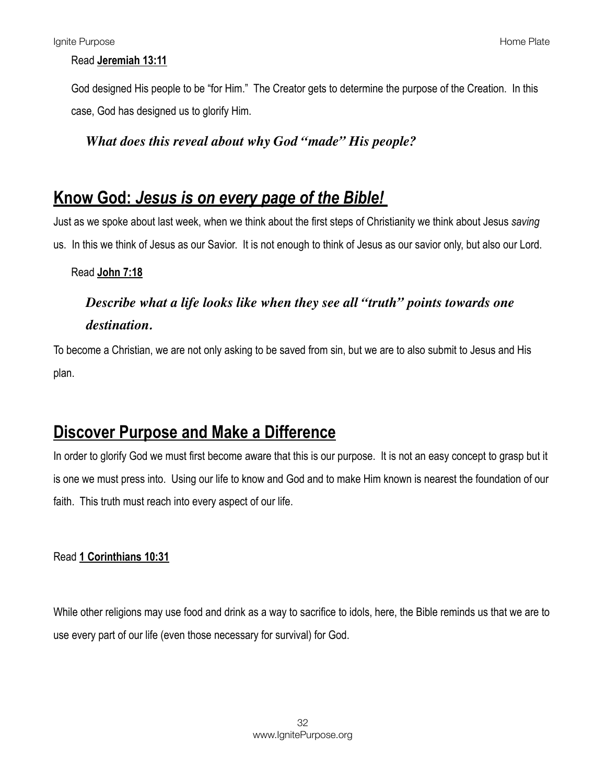#### Read **[Jeremiah 13:11](https://www.biblegateway.com/passage/?search=Jeremiah+13:11&version=NIV)**

God designed His people to be "for Him." The Creator gets to determine the purpose of the Creation. In this case, God has designed us to glorify Him.

#### *What does this reveal about why God "made" His people?*

### **Know God:** *Jesus is on every page of the Bible!*

Just as we spoke about last week, when we think about the first steps of Christianity we think about Jesus *saving*  us. In this we think of Jesus as our Savior. It is not enough to think of Jesus as our savior only, but also our Lord.

#### Read **[John 7:18](https://www.biblegateway.com/passage/?search=John+7:18&version=NIV)**

# *Describe what a life looks like when they see all "truth" points towards one destination.*

To become a Christian, we are not only asking to be saved from sin, but we are to also submit to Jesus and His plan.

# **Discover Purpose and Make a Difference**

In order to glorify God we must first become aware that this is our purpose. It is not an easy concept to grasp but it is one we must press into. Using our life to know and God and to make Him known is nearest the foundation of our faith. This truth must reach into every aspect of our life.

#### Read **[1 Corinthians 10:31](https://www.biblegateway.com/passage/?search=1+Corinthians+10:31&version=NIV)**

While other religions may use food and drink as a way to sacrifice to idols, here, the Bible reminds us that we are to use every part of our life (even those necessary for survival) for God.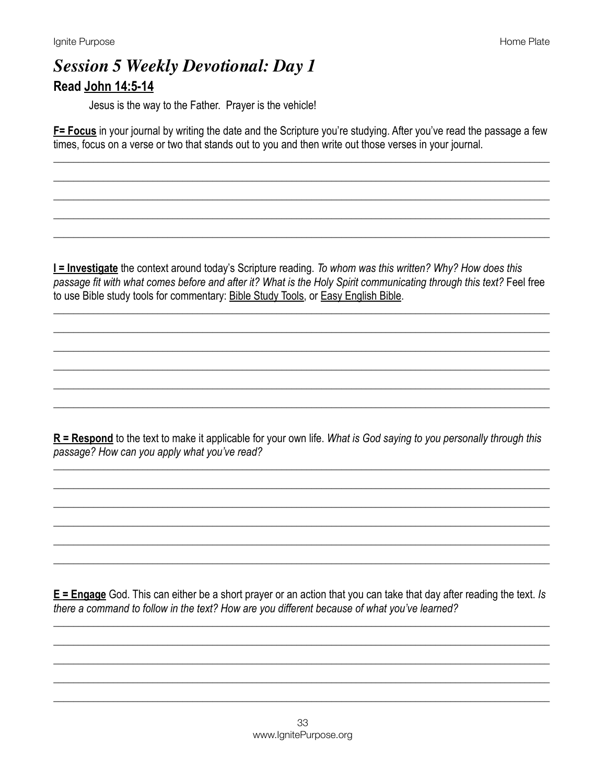# **Session 5 Weekly Devotional: Day 1** Read John 14:5-14

Jesus is the way to the Father. Prayer is the vehicle!

F= Focus in your journal by writing the date and the Scripture you're studying. After you've read the passage a few times, focus on a verse or two that stands out to you and then write out those verses in your journal.

I = Investigate the context around today's Scripture reading. To whom was this written? Why? How does this passage fit with what comes before and after it? What is the Holy Spirit communicating through this text? Feel free to use Bible study tools for commentary: Bible Study Tools, or Easy English Bible.

 $R$  = Respond to the text to make it applicable for your own life. What is God saying to you personally through this passage? How can you apply what you've read?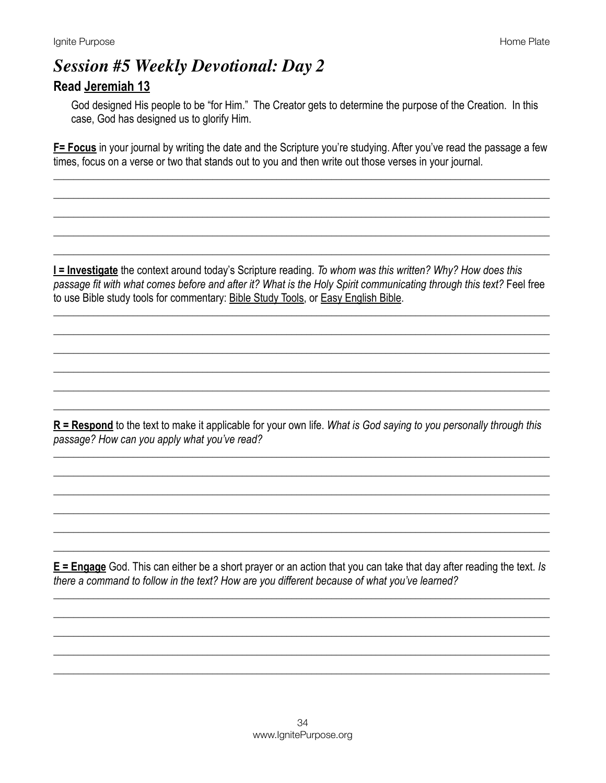### **Session #5 Weekly Devotional: Day 2 Read Jeremiah 13**

God designed His people to be "for Him." The Creator gets to determine the purpose of the Creation. In this case, God has designed us to glorify Him.

F= Focus in your journal by writing the date and the Scripture you're studying. After you've read the passage a few times, focus on a verse or two that stands out to you and then write out those verses in your journal.

**I = Investigate** the context around today's Scripture reading. To whom was this written? Why? How does this passage fit with what comes before and after it? What is the Holy Spirit communicating through this text? Feel free to use Bible study tools for commentary: Bible Study Tools, or Easy English Bible.

 $R$  = Respond to the text to make it applicable for your own life. What is God saying to you personally through this passage? How can you apply what you've read?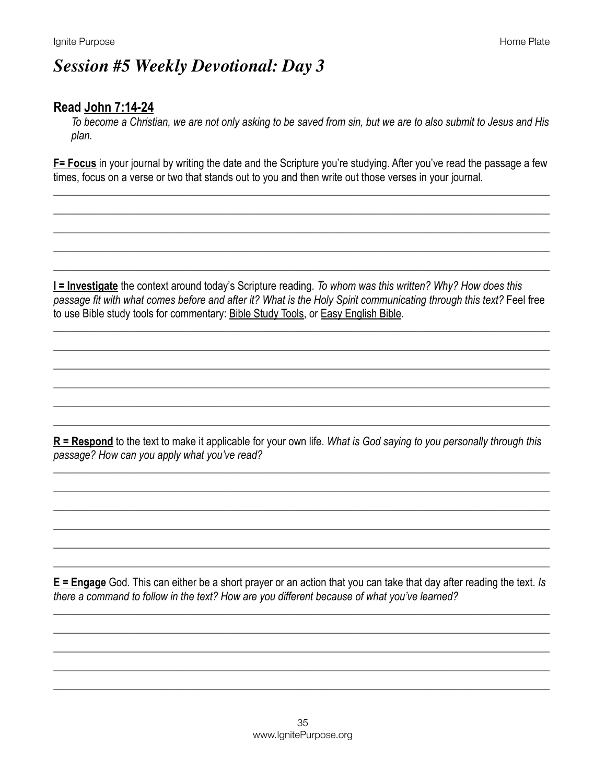# **Session #5 Weekly Devotional: Day 3**

### Read John 7:14-24

To become a Christian, we are not only asking to be saved from sin, but we are to also submit to Jesus and His plan.

F= Focus in your journal by writing the date and the Scripture you're studying. After you've read the passage a few times, focus on a verse or two that stands out to you and then write out those verses in your journal.

I = Investigate the context around today's Scripture reading. To whom was this written? Why? How does this passage fit with what comes before and after it? What is the Holy Spirit communicating through this text? Feel free to use Bible study tools for commentary: Bible Study Tools, or Easy English Bible.

 $R =$ Respond to the text to make it applicable for your own life. What is God saying to you personally through this passage? How can you apply what you've read?